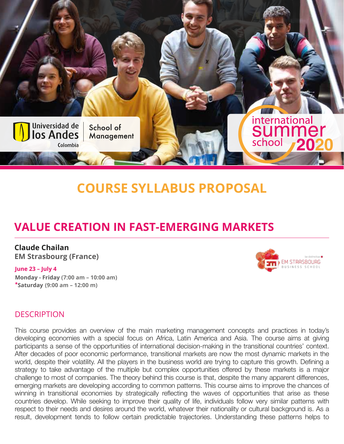

# **COURSE SYLLABUS PROPOSAL**

## **VALUE CREATION IN FAST-EMERGING MARKETS**

**Claude Chailan EM Strasbourg (France)**

#### **June 23 – July 4**

**Monday - Friday (7:00 am – 10:00 am) \*Saturday((9:00 am – 12:00 m)**



#### **DESCRIPTION**

This course provides an overview of the main marketing management concepts and practices in today's developing economies with a special focus on Africa, Latin America and Asia. The course aims at giving participants a sense of the opportunities of international decision-making in the transitional countries' context. After decades of poor economic performance, transitional markets are now the most dynamic markets in the world, despite their volatility. All the players in the business world are trying to capture this growth. Defining a strategy to take advantage of the multiple but complex opportunities offered by these markets is a major challenge to most of companies. The theory behind this course is that, despite the many apparent differences, emerging markets are developing according to common patterns. This course aims to improve the chances of winning in transitional economies by strategically reflecting the waves of opportunities that arise as these countries develop. While seeking to improve their quality of life, individuals follow very similar patterns with respect to their needs and desires around the world, whatever their nationality or cultural background is. As a result, development tends to follow certain predictable trajectories. Understanding these patterns helps to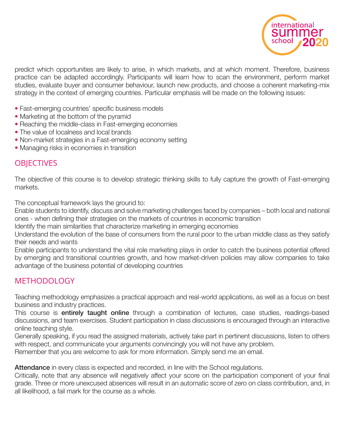

predict which opportunities are likely to arise, in which markets, and at which moment. Therefore, business practice can be adapted accordingly. Participants will learn how to scan the environment, perform market studies, evaluate buyer and consumer behaviour, launch new products, and choose a coherent marketing-mix strategy in the context of emerging countries. Particular emphasis will be made on the following issues:

- Fast-emerging countries' specific business models
- Marketing at the bottom of the pyramid
- Reaching the middle-class in Fast-emerging economies
- The value of localness and local brands
- Non-market strategies in a Fast-emerging economy setting
- Managing risks in economies in transition

## **OBJECTIVES**

The objective of this course is to develop strategic thinking skills to fully capture the growth of Fast-emerging markets.

The conceptual framework lays the ground to:

Enable students to identify, discuss and solve marketing challenges faced by companies – both local and national ones - when defining their strategies on the markets of countries in economic transition

Identify the main similarities that characterize marketing in emerging economies

Understand the evolution of the base of consumers from the rural poor to the urban middle class as they satisfy their needs and wants

Enable participants to understand the vital role marketing plays in order to catch the business potential offered by emerging and transitional countries growth, and how market-driven policies may allow companies to take advantage of the business potential of developing countries

## **METHODOLOGY**

Teaching methodology emphasizes a practical approach and real-world applications, as well as a focus on best business and industry practices.

This course is entirely taught online through a combination of lectures, case studies, readings-based discussions, and team exercises. Student participation in class discussions is encouraged through an interactive online teaching style.

Generally speaking, if you read the assigned materials, actively take part in pertinent discussions, listen to others with respect, and communicate your arguments convincingly you will not have any problem.

Remember that you are welcome to ask for more information. Simply send me an email.

Attendance in every class is expected and recorded, in line with the School regulations.

Critically, note that any absence will negatively affect your score on the participation component of your final grade. Three or more unexcused absences will result in an automatic score of zero on class contribution, and, in all likelihood, a fail mark for the course as a whole.